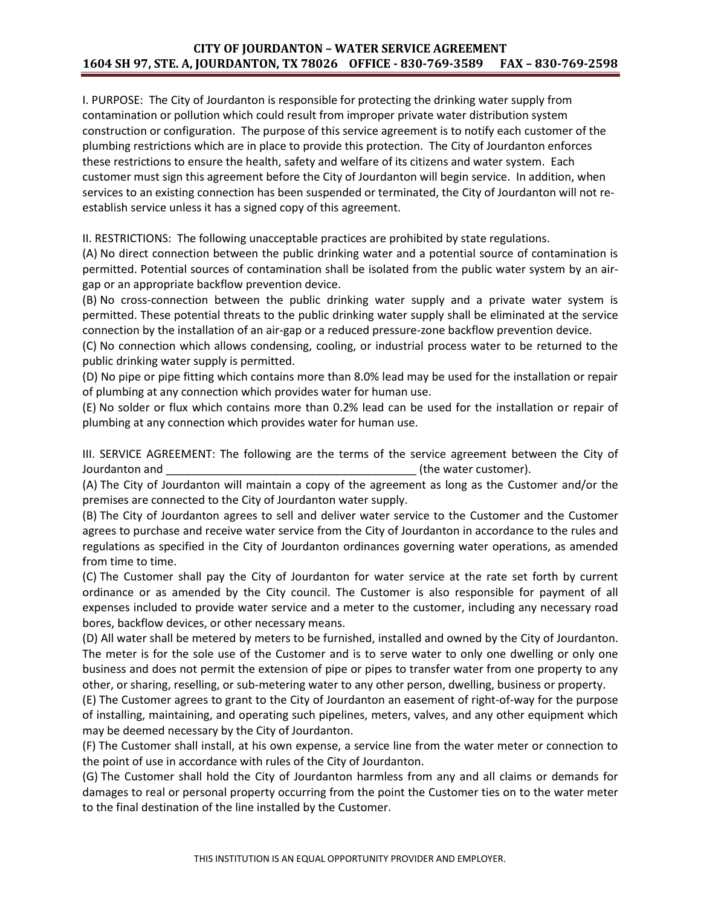## **CITY OF JOURDANTON – WATER SERVICE AGREEMENT 1604 SH 97, STE. A, JOURDANTON, TX 78026 OFFICE - 830-769-3589 FAX – 830-769-2598**

I. PURPOSE: The City of Jourdanton is responsible for protecting the drinking water supply from contamination or pollution which could result from improper private water distribution system construction or configuration. The purpose of this service agreement is to notify each customer of the plumbing restrictions which are in place to provide this protection. The City of Jourdanton enforces these restrictions to ensure the health, safety and welfare of its citizens and water system. Each customer must sign this agreement before the City of Jourdanton will begin service. In addition, when services to an existing connection has been suspended or terminated, the City of Jourdanton will not reestablish service unless it has a signed copy of this agreement.

II. RESTRICTIONS: The following unacceptable practices are prohibited by state regulations.

(A) No direct connection between the public drinking water and a potential source of contamination is permitted. Potential sources of contamination shall be isolated from the public water system by an airgap or an appropriate backflow prevention device.

(B) No cross-connection between the public drinking water supply and a private water system is permitted. These potential threats to the public drinking water supply shall be eliminated at the service connection by the installation of an air-gap or a reduced pressure-zone backflow prevention device.

(C) No connection which allows condensing, cooling, or industrial process water to be returned to the public drinking water supply is permitted.

(D) No pipe or pipe fitting which contains more than 8.0% lead may be used for the installation or repair of plumbing at any connection which provides water for human use.

(E) No solder or flux which contains more than 0.2% lead can be used for the installation or repair of plumbing at any connection which provides water for human use.

III. SERVICE AGREEMENT: The following are the terms of the service agreement between the City of Jourdanton and **of the set of the set of the set of the water customer**).

(A) The City of Jourdanton will maintain a copy of the agreement as long as the Customer and/or the premises are connected to the City of Jourdanton water supply.

(B) The City of Jourdanton agrees to sell and deliver water service to the Customer and the Customer agrees to purchase and receive water service from the City of Jourdanton in accordance to the rules and regulations as specified in the City of Jourdanton ordinances governing water operations, as amended from time to time.

(C) The Customer shall pay the City of Jourdanton for water service at the rate set forth by current ordinance or as amended by the City council. The Customer is also responsible for payment of all expenses included to provide water service and a meter to the customer, including any necessary road bores, backflow devices, or other necessary means.

(D) All water shall be metered by meters to be furnished, installed and owned by the City of Jourdanton. The meter is for the sole use of the Customer and is to serve water to only one dwelling or only one business and does not permit the extension of pipe or pipes to transfer water from one property to any other, or sharing, reselling, or sub-metering water to any other person, dwelling, business or property.

(E) The Customer agrees to grant to the City of Jourdanton an easement of right-of-way for the purpose of installing, maintaining, and operating such pipelines, meters, valves, and any other equipment which may be deemed necessary by the City of Jourdanton.

(F) The Customer shall install, at his own expense, a service line from the water meter or connection to the point of use in accordance with rules of the City of Jourdanton.

(G) The Customer shall hold the City of Jourdanton harmless from any and all claims or demands for damages to real or personal property occurring from the point the Customer ties on to the water meter to the final destination of the line installed by the Customer.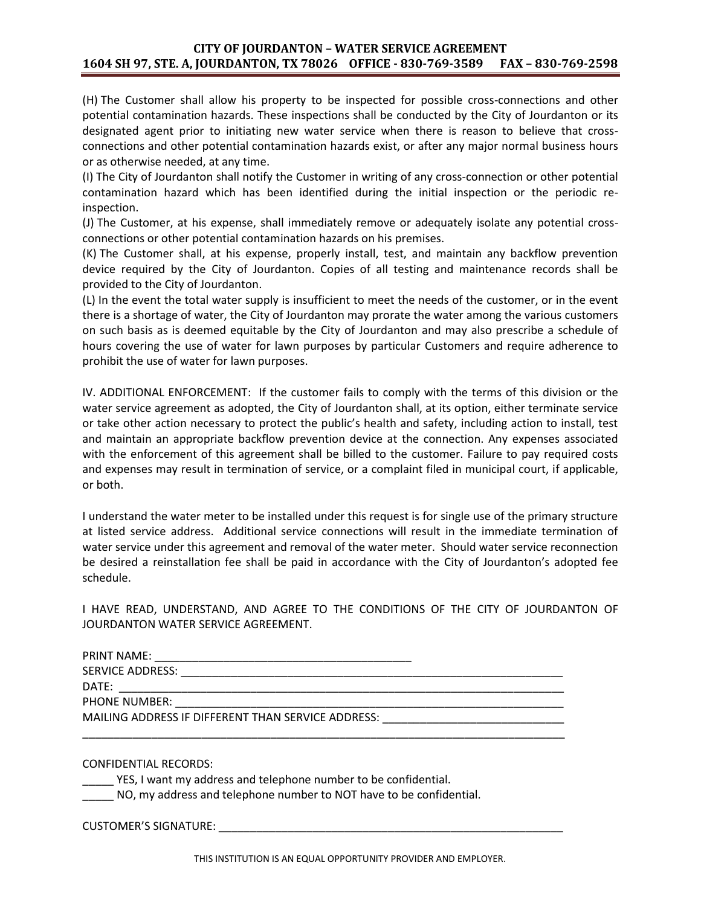## **CITY OF JOURDANTON – WATER SERVICE AGREEMENT 1604 SH 97, STE. A, JOURDANTON, TX 78026 OFFICE - 830-769-3589 FAX – 830-769-2598**

(H) The Customer shall allow his property to be inspected for possible cross-connections and other potential contamination hazards. These inspections shall be conducted by the City of Jourdanton or its designated agent prior to initiating new water service when there is reason to believe that crossconnections and other potential contamination hazards exist, or after any major normal business hours or as otherwise needed, at any time.

(I) The City of Jourdanton shall notify the Customer in writing of any cross-connection or other potential contamination hazard which has been identified during the initial inspection or the periodic reinspection.

(J) The Customer, at his expense, shall immediately remove or adequately isolate any potential crossconnections or other potential contamination hazards on his premises.

(K) The Customer shall, at his expense, properly install, test, and maintain any backflow prevention device required by the City of Jourdanton. Copies of all testing and maintenance records shall be provided to the City of Jourdanton.

(L) In the event the total water supply is insufficient to meet the needs of the customer, or in the event there is a shortage of water, the City of Jourdanton may prorate the water among the various customers on such basis as is deemed equitable by the City of Jourdanton and may also prescribe a schedule of hours covering the use of water for lawn purposes by particular Customers and require adherence to prohibit the use of water for lawn purposes.

IV. ADDITIONAL ENFORCEMENT: If the customer fails to comply with the terms of this division or the water service agreement as adopted, the City of Jourdanton shall, at its option, either terminate service or take other action necessary to protect the public's health and safety, including action to install, test and maintain an appropriate backflow prevention device at the connection. Any expenses associated with the enforcement of this agreement shall be billed to the customer. Failure to pay required costs and expenses may result in termination of service, or a complaint filed in municipal court, if applicable, or both.

I understand the water meter to be installed under this request is for single use of the primary structure at listed service address. Additional service connections will result in the immediate termination of water service under this agreement and removal of the water meter. Should water service reconnection be desired a reinstallation fee shall be paid in accordance with the City of Jourdanton's adopted fee schedule.

I HAVE READ, UNDERSTAND, AND AGREE TO THE CONDITIONS OF THE CITY OF JOURDANTON OF JOURDANTON WATER SERVICE AGREEMENT.

| <b>PRINT NAME:</b>                                 |  |
|----------------------------------------------------|--|
| SERVICE ADDRESS:                                   |  |
| DATE:                                              |  |
| <b>PHONE NUMBER:</b>                               |  |
| MAILING ADDRESS IF DIFFERENT THAN SERVICE ADDRESS: |  |

\_\_\_\_\_\_\_\_\_\_\_\_\_\_\_\_\_\_\_\_\_\_\_\_\_\_\_\_\_\_\_\_\_\_\_\_\_\_\_\_\_\_\_\_\_\_\_\_\_\_\_\_\_\_\_\_\_\_\_\_\_\_\_\_\_\_\_\_\_\_\_\_\_\_\_\_\_

CONFIDENTIAL RECORDS:

\_\_\_\_\_ YES, I want my address and telephone number to be confidential.

NO, my address and telephone number to NOT have to be confidential.

CUSTOMER'S SIGNATURE: \_\_\_\_\_\_\_\_\_\_\_\_\_\_\_\_\_\_\_\_\_\_\_\_\_\_\_\_\_\_\_\_\_\_\_\_\_\_\_\_\_\_\_\_\_\_\_\_\_\_\_\_\_\_\_

THIS INSTITUTION IS AN EQUAL OPPORTUNITY PROVIDER AND EMPLOYER.